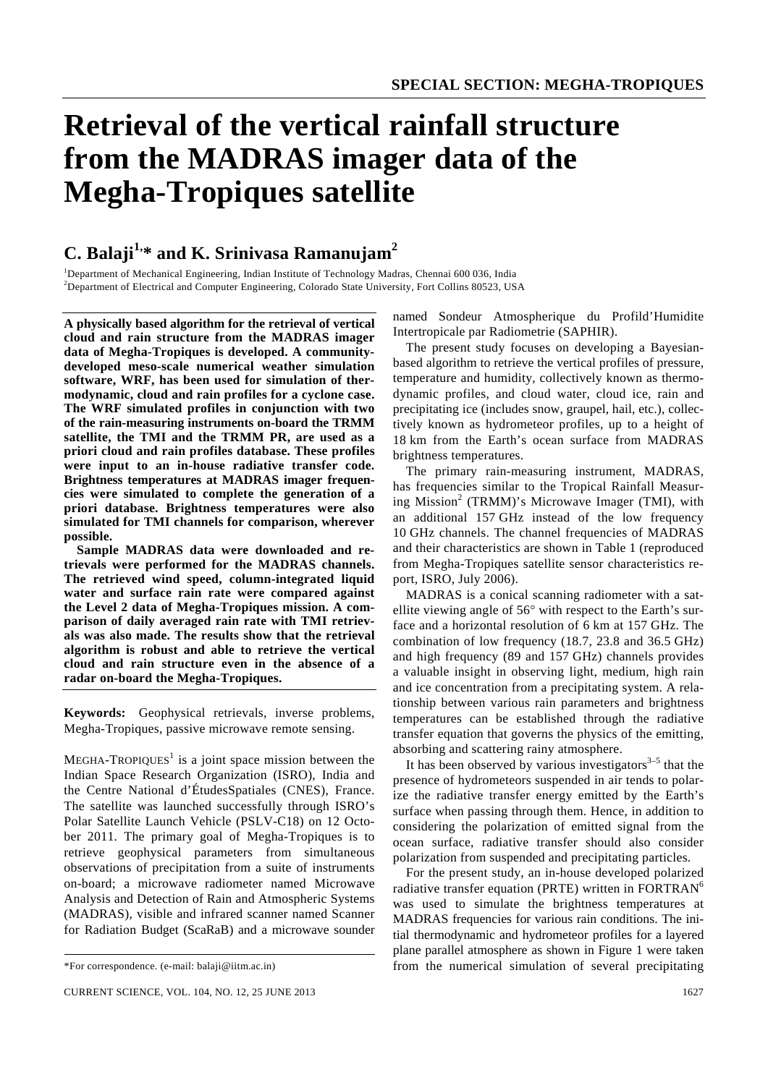# **Retrieval of the vertical rainfall structure from the MADRAS imager data of the Megha-Tropiques satellite**

## **C. Balaji1,\* and K. Srinivasa Ramanujam2**

<sup>1</sup>Department of Mechanical Engineering, Indian Institute of Technology Madras, Chennai 600 036, India<br><sup>2</sup>Department of Electrical and Computer Engineering, Colorado State University, Fort Colline 80522, US <sup>2</sup>Department of Electrical and Computer Engineering, Colorado State University, Fort Collins 80523, USA

**A physically based algorithm for the retrieval of vertical cloud and rain structure from the MADRAS imager data of Megha-Tropiques is developed. A communitydeveloped meso-scale numerical weather simulation software, WRF, has been used for simulation of thermodynamic, cloud and rain profiles for a cyclone case. The WRF simulated profiles in conjunction with two of the rain-measuring instruments on-board the TRMM satellite, the TMI and the TRMM PR, are used as a priori cloud and rain profiles database. These profiles were input to an in-house radiative transfer code. Brightness temperatures at MADRAS imager frequencies were simulated to complete the generation of a priori database. Brightness temperatures were also simulated for TMI channels for comparison, wherever possible.** 

 **Sample MADRAS data were downloaded and retrievals were performed for the MADRAS channels. The retrieved wind speed, column-integrated liquid water and surface rain rate were compared against the Level 2 data of Megha-Tropiques mission. A comparison of daily averaged rain rate with TMI retrievals was also made. The results show that the retrieval algorithm is robust and able to retrieve the vertical cloud and rain structure even in the absence of a radar on-board the Megha-Tropiques.** 

**Keywords:** Geophysical retrievals, inverse problems, Megha-Tropiques, passive microwave remote sensing.

MEGHA-TROPIQUES<sup>1</sup> is a joint space mission between the Indian Space Research Organization (ISRO), India and the Centre National d'ÉtudesSpatiales (CNES), France. The satellite was launched successfully through ISRO's Polar Satellite Launch Vehicle (PSLV-C18) on 12 October 2011. The primary goal of Megha-Tropiques is to retrieve geophysical parameters from simultaneous observations of precipitation from a suite of instruments on-board; a microwave radiometer named Microwave Analysis and Detection of Rain and Atmospheric Systems (MADRAS), visible and infrared scanner named Scanner for Radiation Budget (ScaRaB) and a microwave sounder

named Sondeur Atmospherique du Profild'Humidite Intertropicale par Radiometrie (SAPHIR).

 The present study focuses on developing a Bayesianbased algorithm to retrieve the vertical profiles of pressure, temperature and humidity, collectively known as thermodynamic profiles, and cloud water, cloud ice, rain and precipitating ice (includes snow, graupel, hail, etc.), collectively known as hydrometeor profiles, up to a height of 18 km from the Earth's ocean surface from MADRAS brightness temperatures.

 The primary rain-measuring instrument, MADRAS, has frequencies similar to the Tropical Rainfall Measuring Mission<sup>2</sup> (TRMM)'s Microwave Imager (TMI), with an additional 157 GHz instead of the low frequency 10 GHz channels. The channel frequencies of MADRAS and their characteristics are shown in Table 1 (reproduced from Megha-Tropiques satellite sensor characteristics report, ISRO, July 2006).

 MADRAS is a conical scanning radiometer with a satellite viewing angle of 56° with respect to the Earth's surface and a horizontal resolution of 6 km at 157 GHz. The combination of low frequency (18.7, 23.8 and 36.5 GHz) and high frequency (89 and 157 GHz) channels provides a valuable insight in observing light, medium, high rain and ice concentration from a precipitating system. A relationship between various rain parameters and brightness temperatures can be established through the radiative transfer equation that governs the physics of the emitting, absorbing and scattering rainy atmosphere.

It has been observed by various investigators $3-5$  that the presence of hydrometeors suspended in air tends to polarize the radiative transfer energy emitted by the Earth's surface when passing through them. Hence, in addition to considering the polarization of emitted signal from the ocean surface, radiative transfer should also consider polarization from suspended and precipitating particles.

 For the present study, an in-house developed polarized radiative transfer equation (PRTE) written in FORTRAN<sup>6</sup> was used to simulate the brightness temperatures at MADRAS frequencies for various rain conditions. The initial thermodynamic and hydrometeor profiles for a layered plane parallel atmosphere as shown in Figure 1 were taken from the numerical simulation of several precipitating

<sup>\*</sup>For correspondence. (e-mail: balaji@iitm.ac.in)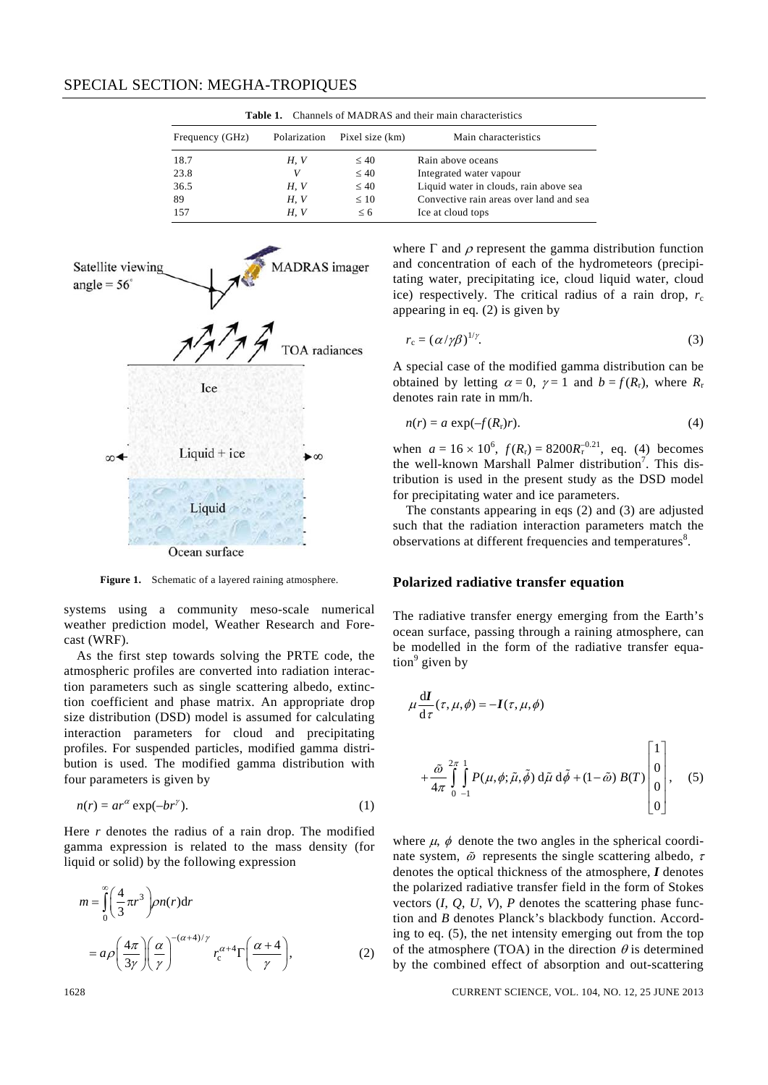| <b>Table 1.</b> Channels of MADRAS and their main characteristics |              |                 |                                         |
|-------------------------------------------------------------------|--------------|-----------------|-----------------------------------------|
| Frequency (GHz)                                                   | Polarization | Pixel size (km) | Main characteristics                    |
| 18.7                                                              | H. V         | $\leq 40$       | Rain above oceans                       |
| 23.8                                                              | V            | $\leq 40$       | Integrated water vapour                 |
| 36.5                                                              | H, V         | $\leq 40$       | Liquid water in clouds, rain above sea  |
| 89                                                                | H, V         | $\leq 10$       | Convective rain areas over land and sea |
| 157                                                               | H, V         | $\leq 6$        | Ice at cloud tops                       |



Figure 1. Schematic of a layered raining atmosphere.

systems using a community meso-scale numerical weather prediction model, Weather Research and Forecast (WRF).

 As the first step towards solving the PRTE code, the atmospheric profiles are converted into radiation interaction parameters such as single scattering albedo, extinction coefficient and phase matrix. An appropriate drop size distribution (DSD) model is assumed for calculating interaction parameters for cloud and precipitating profiles. For suspended particles, modified gamma distribution is used. The modified gamma distribution with four parameters is given by

$$
n(r) = ar^{\alpha} \exp(-br^{\gamma}).
$$
 (1)

Here *r* denotes the radius of a rain drop. The modified gamma expression is related to the mass density (for liquid or solid) by the following expression

$$
m = \int_{0}^{\infty} \left(\frac{4}{3}\pi r^3\right) \rho n(r) dr
$$
  
=  $a \rho \left(\frac{4\pi}{3\gamma}\right) \left(\frac{\alpha}{\gamma}\right)^{-(\alpha+4)/\gamma} r_c^{\alpha+4} \Gamma\left(\frac{\alpha+4}{\gamma}\right),$  (2)

where  $\Gamma$  and  $\rho$  represent the gamma distribution function and concentration of each of the hydrometeors (precipitating water, precipitating ice, cloud liquid water, cloud ice) respectively. The critical radius of a rain drop,  $r_c$ appearing in eq. (2) is given by

$$
r_{\rm c} = (\alpha/\gamma \beta)^{1/\gamma}.\tag{3}
$$

A special case of the modified gamma distribution can be obtained by letting  $\alpha = 0$ ,  $\gamma = 1$  and  $b = f(R_r)$ , where  $R_r$ denotes rain rate in mm/h.

$$
n(r) = a \exp(-f(R_r)r). \tag{4}
$$

when  $a = 16 \times 10^6$ ,  $f(R_r) = 8200R_r^{-0.21}$ , eq. (4) becomes the well-known Marshall Palmer distribution<sup>7</sup>. This distribution is used in the present study as the DSD model for precipitating water and ice parameters.

 The constants appearing in eqs (2) and (3) are adjusted such that the radiation interaction parameters match the observations at different frequencies and temperatures<sup>8</sup>.

#### **Polarized radiative transfer equation**

The radiative transfer energy emerging from the Earth's ocean surface, passing through a raining atmosphere, can be modelled in the form of the radiative transfer equation<sup>9</sup> given by

$$
\mu \frac{dI}{d\tau}(\tau, \mu, \phi) = -I(\tau, \mu, \phi)
$$
  
+ 
$$
\frac{\tilde{\omega}}{4\pi} \int_{0}^{2\pi} \int_{-1}^{1} P(\mu, \phi; \tilde{\mu}, \tilde{\phi}) d\tilde{\mu} d\tilde{\phi} + (1 - \tilde{\omega}) B(T) \begin{bmatrix} 1 \\ 0 \\ 0 \\ 0 \end{bmatrix},
$$
 (5)

where  $\mu$ ,  $\phi$  denote the two angles in the spherical coordinate system,  $\tilde{\omega}$  represents the single scattering albedo,  $\tau$ denotes the optical thickness of the atmosphere, *I* denotes the polarized radiative transfer field in the form of Stokes vectors  $(I, Q, U, V)$ ,  $P$  denotes the scattering phase function and *B* denotes Planck's blackbody function. According to eq. (5), the net intensity emerging out from the top of the atmosphere (TOA) in the direction  $\theta$  is determined by the combined effect of absorption and out-scattering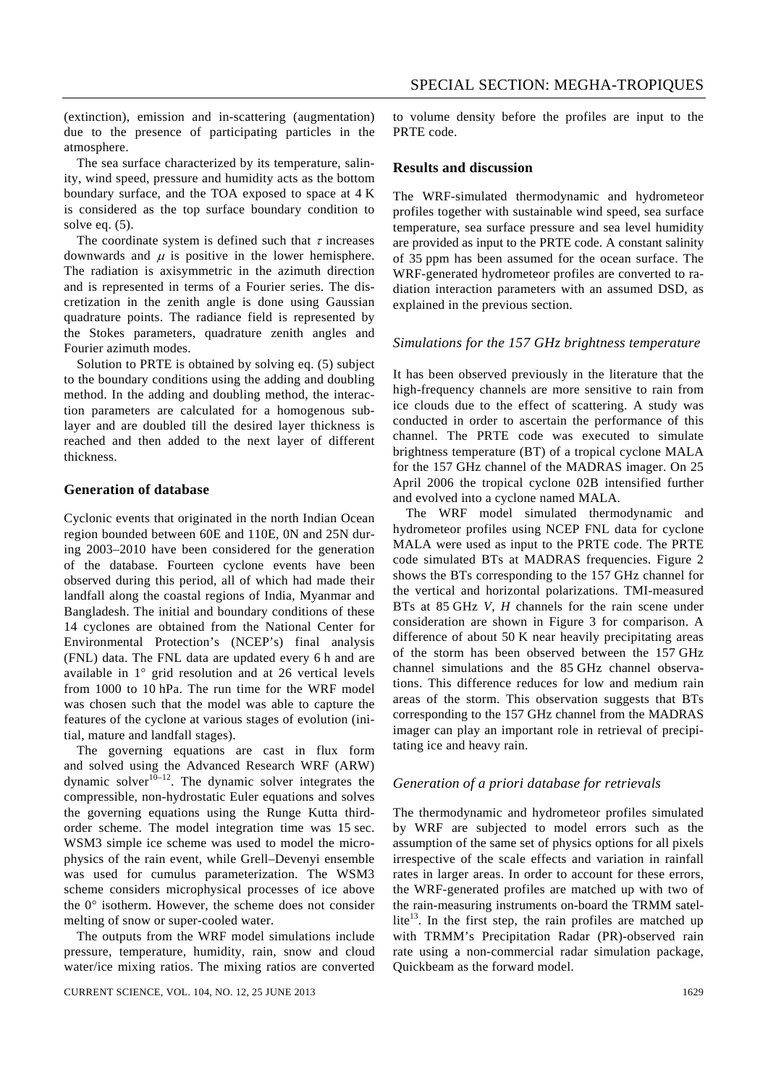The sea surface characterized by its temperature, salinity, wind speed, pressure and humidity acts as the bottom boundary surface, and the TOA exposed to space at 4 K is considered as the top surface boundary condition to solve eq. (5).

The coordinate system is defined such that  $\tau$  increases downwards and  $\mu$  is positive in the lower hemisphere. The radiation is axisymmetric in the azimuth direction and is represented in terms of a Fourier series. The discretization in the zenith angle is done using Gaussian quadrature points. The radiance field is represented by the Stokes parameters, quadrature zenith angles and Fourier azimuth modes.

 Solution to PRTE is obtained by solving eq. (5) subject to the boundary conditions using the adding and doubling method. In the adding and doubling method, the interaction parameters are calculated for a homogenous sublayer and are doubled till the desired layer thickness is reached and then added to the next layer of different thickness.

#### **Generation of database**

Cyclonic events that originated in the north Indian Ocean region bounded between 60E and 110E, 0N and 25N during 2003–2010 have been considered for the generation of the database. Fourteen cyclone events have been observed during this period, all of which had made their landfall along the coastal regions of India, Myanmar and Bangladesh. The initial and boundary conditions of these 14 cyclones are obtained from the National Center for Environmental Protection's (NCEP's) final analysis (FNL) data. The FNL data are updated every 6 h and are available in 1° grid resolution and at 26 vertical levels from 1000 to 10 hPa. The run time for the WRF model was chosen such that the model was able to capture the features of the cyclone at various stages of evolution (initial, mature and landfall stages).

 The governing equations are cast in flux form and solved using the Advanced Research WRF (ARW) dynamic solver<sup>10–12</sup>. The dynamic solver integrates the compressible, non-hydrostatic Euler equations and solves the governing equations using the Runge Kutta thirdorder scheme. The model integration time was 15 sec. WSM3 simple ice scheme was used to model the microphysics of the rain event, while Grell–Devenyi ensemble was used for cumulus parameterization. The WSM3 scheme considers microphysical processes of ice above the 0° isotherm. However, the scheme does not consider melting of snow or super-cooled water.

 The outputs from the WRF model simulations include pressure, temperature, humidity, rain, snow and cloud water/ice mixing ratios. The mixing ratios are converted to volume density before the profiles are input to the PRTE code.

#### **Results and discussion**

The WRF-simulated thermodynamic and hydrometeor profiles together with sustainable wind speed, sea surface temperature, sea surface pressure and sea level humidity are provided as input to the PRTE code. A constant salinity of 35 ppm has been assumed for the ocean surface. The WRF-generated hydrometeor profiles are converted to radiation interaction parameters with an assumed DSD, as explained in the previous section.

#### *Simulations for the 157 GHz brightness temperature*

It has been observed previously in the literature that the high-frequency channels are more sensitive to rain from ice clouds due to the effect of scattering. A study was conducted in order to ascertain the performance of this channel. The PRTE code was executed to simulate brightness temperature (BT) of a tropical cyclone MALA for the 157 GHz channel of the MADRAS imager. On 25 April 2006 the tropical cyclone 02B intensified further and evolved into a cyclone named MALA.

 The WRF model simulated thermodynamic and hydrometeor profiles using NCEP FNL data for cyclone MALA were used as input to the PRTE code. The PRTE code simulated BTs at MADRAS frequencies. Figure 2 shows the BTs corresponding to the 157 GHz channel for the vertical and horizontal polarizations. TMI-measured BTs at 85 GHz *V*, *H* channels for the rain scene under consideration are shown in Figure 3 for comparison. A difference of about 50 K near heavily precipitating areas of the storm has been observed between the 157 GHz channel simulations and the 85 GHz channel observations. This difference reduces for low and medium rain areas of the storm. This observation suggests that BTs corresponding to the 157 GHz channel from the MADRAS imager can play an important role in retrieval of precipitating ice and heavy rain.

#### *Generation of a priori database for retrievals*

The thermodynamic and hydrometeor profiles simulated by WRF are subjected to model errors such as the assumption of the same set of physics options for all pixels irrespective of the scale effects and variation in rainfall rates in larger areas. In order to account for these errors, the WRF-generated profiles are matched up with two of the rain-measuring instruments on-board the TRMM satellite<sup>13</sup>. In the first step, the rain profiles are matched up with TRMM's Precipitation Radar (PR)-observed rain rate using a non-commercial radar simulation package, Quickbeam as the forward model.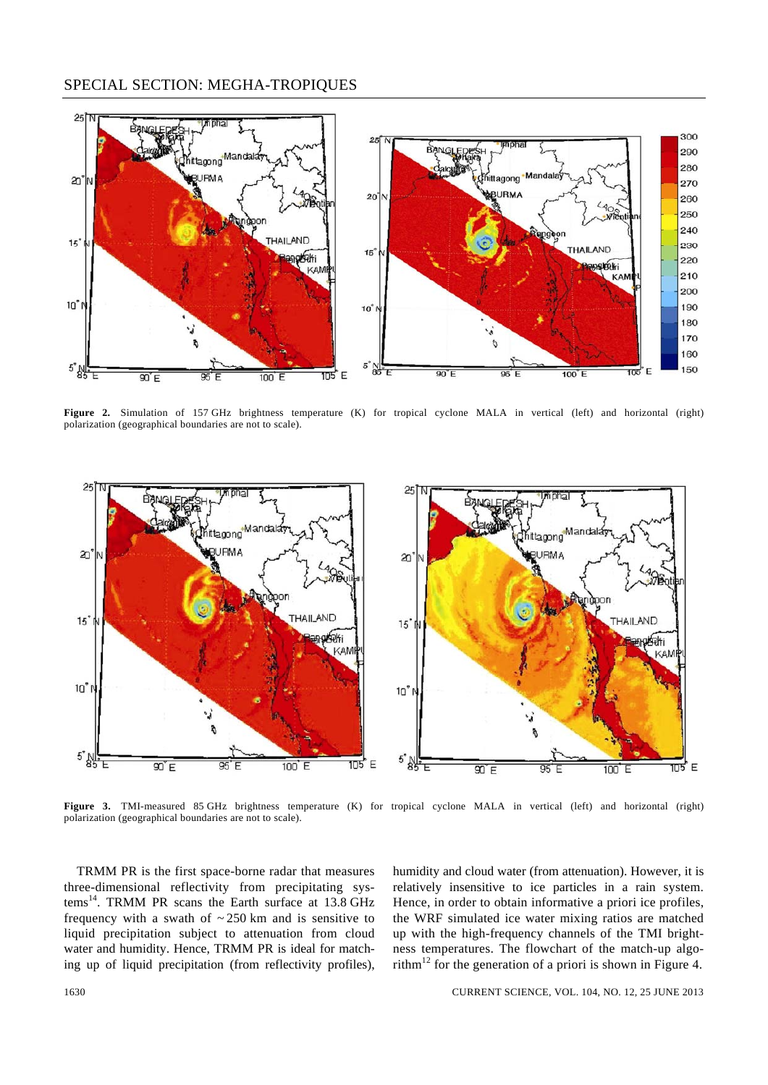

**Figure 2.** Simulation of 157 GHz brightness temperature (K) for tropical cyclone MALA in vertical (left) and horizontal (right) polarization (geographical boundaries are not to scale).



Figure 3. TMI-measured 85 GHz brightness temperature (K) for tropical cyclone MALA in vertical (left) and horizontal (right) polarization (geographical boundaries are not to scale).

 TRMM PR is the first space-borne radar that measures three-dimensional reflectivity from precipitating systems<sup>14</sup>. TRMM PR scans the Earth surface at  $13.8$  GHz frequency with a swath of  $\sim$  250 km and is sensitive to liquid precipitation subject to attenuation from cloud water and humidity. Hence, TRMM PR is ideal for matching up of liquid precipitation (from reflectivity profiles), humidity and cloud water (from attenuation). However, it is relatively insensitive to ice particles in a rain system. Hence, in order to obtain informative a priori ice profiles, the WRF simulated ice water mixing ratios are matched up with the high-frequency channels of the TMI brightness temperatures. The flowchart of the match-up algorithm<sup>12</sup> for the generation of a priori is shown in Figure 4.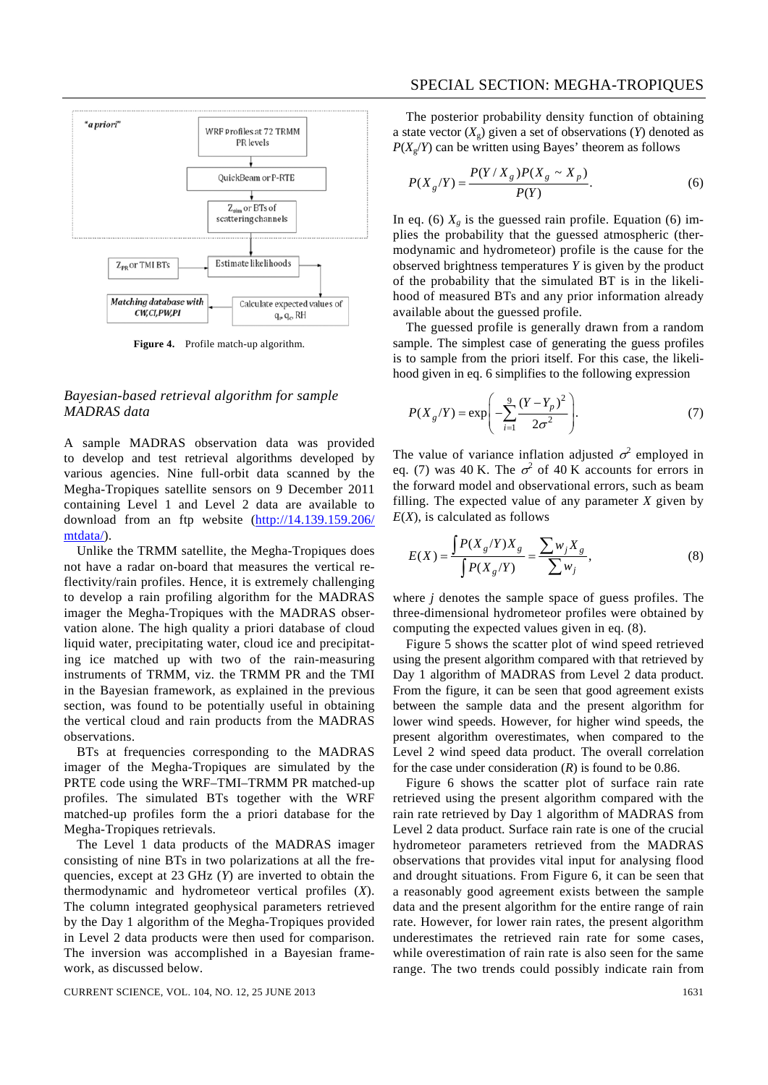

**Figure 4.** Profile match-up algorithm.

#### *Bayesian-based retrieval algorithm for sample MADRAS data*

A sample MADRAS observation data was provided to develop and test retrieval algorithms developed by various agencies. Nine full-orbit data scanned by the Megha-Tropiques satellite sensors on 9 December 2011 containing Level 1 and Level 2 data are available to download from an ftp website (http://14.139.159.206/ mtdata/).

 Unlike the TRMM satellite, the Megha-Tropiques does not have a radar on-board that measures the vertical reflectivity/rain profiles. Hence, it is extremely challenging to develop a rain profiling algorithm for the MADRAS imager the Megha-Tropiques with the MADRAS observation alone. The high quality a priori database of cloud liquid water, precipitating water, cloud ice and precipitating ice matched up with two of the rain-measuring instruments of TRMM, viz. the TRMM PR and the TMI in the Bayesian framework, as explained in the previous section, was found to be potentially useful in obtaining the vertical cloud and rain products from the MADRAS observations.

 BTs at frequencies corresponding to the MADRAS imager of the Megha-Tropiques are simulated by the PRTE code using the WRF–TMI–TRMM PR matched-up profiles. The simulated BTs together with the WRF matched-up profiles form the a priori database for the Megha-Tropiques retrievals.

 The Level 1 data products of the MADRAS imager consisting of nine BTs in two polarizations at all the frequencies, except at 23 GHz (*Y*) are inverted to obtain the thermodynamic and hydrometeor vertical profiles (*X*). The column integrated geophysical parameters retrieved by the Day 1 algorithm of the Megha-Tropiques provided in Level 2 data products were then used for comparison. The inversion was accomplished in a Bayesian framework, as discussed below.

 The posterior probability density function of obtaining a state vector  $(X_g)$  given a set of observations  $(Y)$  denoted as  $P(X<sub>g</sub>/Y)$  can be written using Bayes' theorem as follows

$$
P(X_g/Y) = \frac{P(Y/X_g)P(X_g \sim X_p)}{P(Y)}.
$$
 (6)

In eq. (6)  $X_{\varphi}$  is the guessed rain profile. Equation (6) implies the probability that the guessed atmospheric (thermodynamic and hydrometeor) profile is the cause for the observed brightness temperatures *Y* is given by the product of the probability that the simulated BT is in the likelihood of measured BTs and any prior information already available about the guessed profile.

 The guessed profile is generally drawn from a random sample. The simplest case of generating the guess profiles is to sample from the priori itself. For this case, the likelihood given in eq. 6 simplifies to the following expression

$$
P(X_g/Y) = \exp\left(-\sum_{i=1}^{9} \frac{(Y - Y_p)^2}{2\sigma^2}\right).
$$
 (7)

The value of variance inflation adjusted  $\sigma^2$  employed in eq. (7) was 40 K. The  $\sigma^2$  of 40 K accounts for errors in the forward model and observational errors, such as beam filling. The expected value of any parameter *X* given by *E*(*X*), is calculated as follows

$$
E(X) = \frac{\int P(X_g/Y)X_g}{\int P(X_g/Y)} = \frac{\sum w_j X_g}{\sum w_j},
$$
 (8)

where *j* denotes the sample space of guess profiles. The three-dimensional hydrometeor profiles were obtained by computing the expected values given in eq. (8).

 Figure 5 shows the scatter plot of wind speed retrieved using the present algorithm compared with that retrieved by Day 1 algorithm of MADRAS from Level 2 data product. From the figure, it can be seen that good agreement exists between the sample data and the present algorithm for lower wind speeds. However, for higher wind speeds, the present algorithm overestimates, when compared to the Level 2 wind speed data product. The overall correlation for the case under consideration (*R*) is found to be 0.86.

 Figure 6 shows the scatter plot of surface rain rate retrieved using the present algorithm compared with the rain rate retrieved by Day 1 algorithm of MADRAS from Level 2 data product. Surface rain rate is one of the crucial hydrometeor parameters retrieved from the MADRAS observations that provides vital input for analysing flood and drought situations. From Figure 6, it can be seen that a reasonably good agreement exists between the sample data and the present algorithm for the entire range of rain rate. However, for lower rain rates, the present algorithm underestimates the retrieved rain rate for some cases, while overestimation of rain rate is also seen for the same range. The two trends could possibly indicate rain from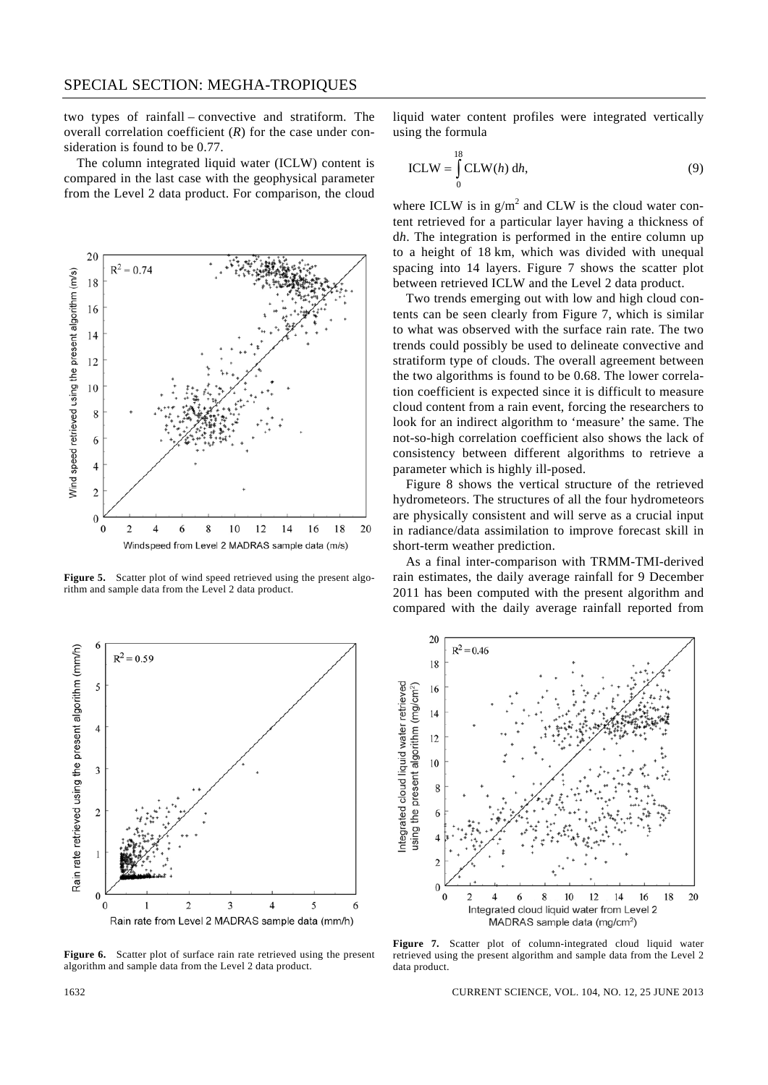two types of rainfall – convective and stratiform. The overall correlation coefficient (*R*) for the case under consideration is found to be 0.77.

 The column integrated liquid water (ICLW) content is compared in the last case with the geophysical parameter from the Level 2 data product. For comparison, the cloud



Figure 5. Scatter plot of wind speed retrieved using the present algorithm and sample data from the Level 2 data product.

liquid water content profiles were integrated vertically using the formula

$$
ICLW = \int_{0}^{18} CLW(h) dh,
$$
 (9)

where ICLW is in  $g/m^2$  and CLW is the cloud water content retrieved for a particular layer having a thickness of d*h*. The integration is performed in the entire column up to a height of 18 km, which was divided with unequal spacing into 14 layers. Figure 7 shows the scatter plot between retrieved ICLW and the Level 2 data product.

 Two trends emerging out with low and high cloud contents can be seen clearly from Figure 7, which is similar to what was observed with the surface rain rate. The two trends could possibly be used to delineate convective and stratiform type of clouds. The overall agreement between the two algorithms is found to be 0.68. The lower correlation coefficient is expected since it is difficult to measure cloud content from a rain event, forcing the researchers to look for an indirect algorithm to 'measure' the same. The not-so-high correlation coefficient also shows the lack of consistency between different algorithms to retrieve a parameter which is highly ill-posed.

 Figure 8 shows the vertical structure of the retrieved hydrometeors. The structures of all the four hydrometeors are physically consistent and will serve as a crucial input in radiance/data assimilation to improve forecast skill in short-term weather prediction.

 As a final inter-comparison with TRMM-TMI-derived rain estimates, the daily average rainfall for 9 December 2011 has been computed with the present algorithm and compared with the daily average rainfall reported from



Figure 6. Scatter plot of surface rain rate retrieved using the present algorithm and sample data from the Level 2 data product.



**Figure 7.** Scatter plot of column-integrated cloud liquid water retrieved using the present algorithm and sample data from the Level 2 data product.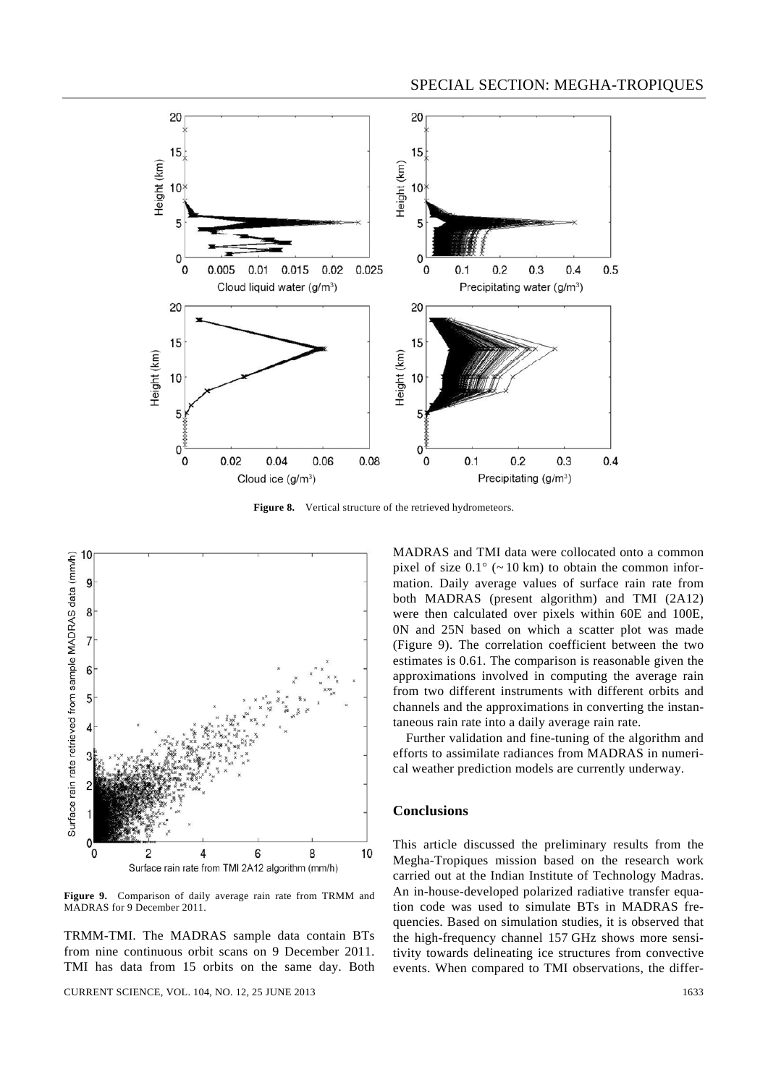

Figure 8. Vertical structure of the retrieved hydrometeors.



**Figure 9.** Comparison of daily average rain rate from TRMM and MADRAS for 9 December 2011.

TRMM-TMI. The MADRAS sample data contain BTs from nine continuous orbit scans on 9 December 2011. TMI has data from 15 orbits on the same day. Both

CURRENT SCIENCE, VOL. 104, NO. 12, 25 JUNE 2013 1633

MADRAS and TMI data were collocated onto a common pixel of size  $0.1^{\circ}$  ( $\sim$  10 km) to obtain the common information. Daily average values of surface rain rate from both MADRAS (present algorithm) and TMI (2A12) were then calculated over pixels within 60E and 100E, 0N and 25N based on which a scatter plot was made (Figure 9). The correlation coefficient between the two estimates is 0.61. The comparison is reasonable given the approximations involved in computing the average rain from two different instruments with different orbits and channels and the approximations in converting the instantaneous rain rate into a daily average rain rate.

 Further validation and fine-tuning of the algorithm and efforts to assimilate radiances from MADRAS in numerical weather prediction models are currently underway.

### **Conclusions**

This article discussed the preliminary results from the Megha-Tropiques mission based on the research work carried out at the Indian Institute of Technology Madras. An in-house-developed polarized radiative transfer equation code was used to simulate BTs in MADRAS frequencies. Based on simulation studies, it is observed that the high-frequency channel 157 GHz shows more sensitivity towards delineating ice structures from convective events. When compared to TMI observations, the differ